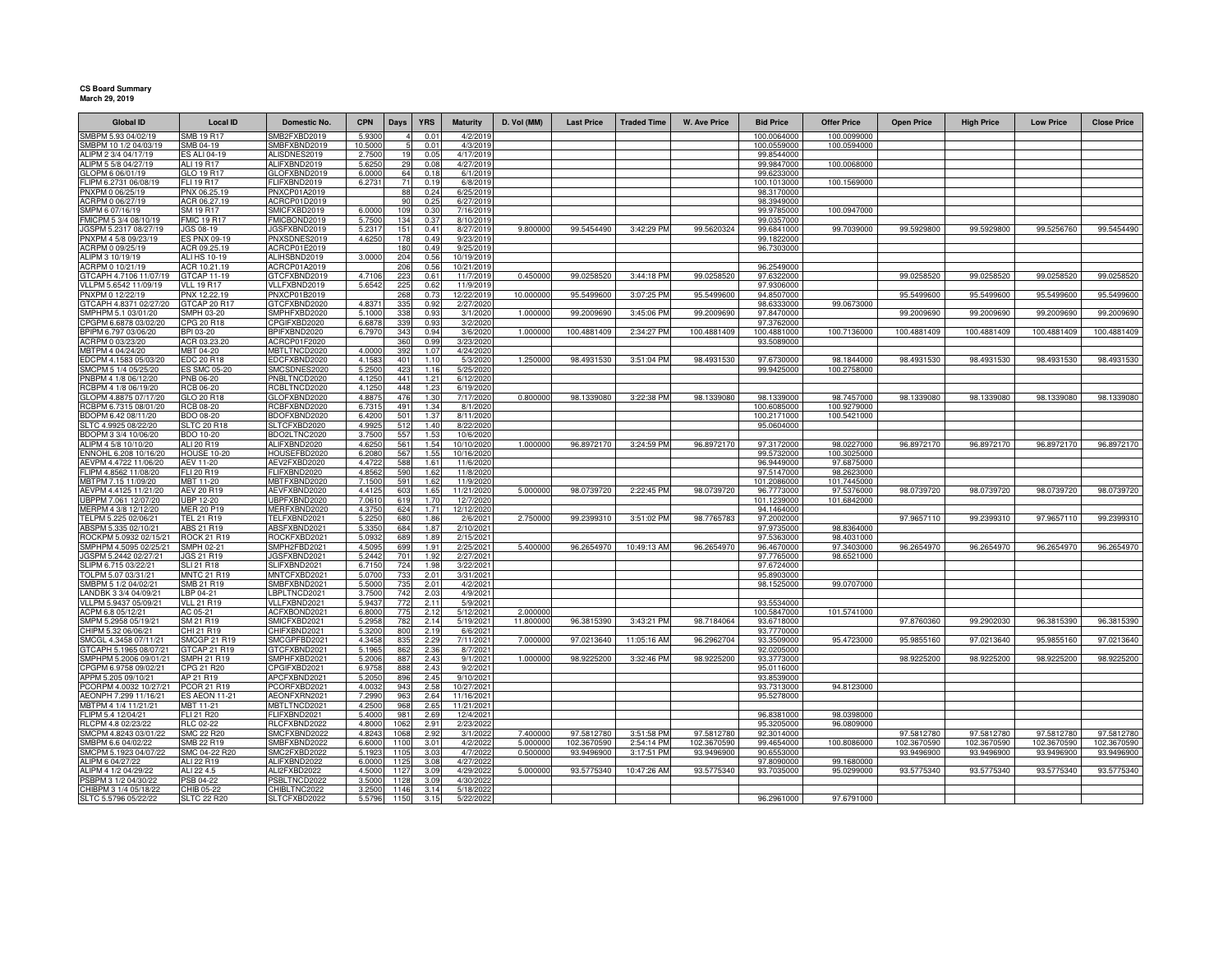## **CS Board Summary March 29, 2019**

| <b>Global ID</b>                                 | <b>Local ID</b>                       | <b>Domestic No.</b>          | <b>CPN</b>       | <b>Days</b>  | <b>YRS</b>   | <b>Maturity</b>         | D. Vol (MM)          | <b>Last Price</b>         | <b>Traded Time</b>       | <b>W. Ave Price</b>       | <b>Bid Price</b>          | <b>Offer Price</b>        | <b>Open Price</b>         | <b>High Price</b>         | <b>Low Price</b>          | <b>Close Price</b>        |
|--------------------------------------------------|---------------------------------------|------------------------------|------------------|--------------|--------------|-------------------------|----------------------|---------------------------|--------------------------|---------------------------|---------------------------|---------------------------|---------------------------|---------------------------|---------------------------|---------------------------|
| SMBPM 5.93 04/02/19                              | <b>SMB 19 R17</b>                     | MB2FXBD2019                  | 5.930            |              | 0.0          | 4/2/201                 |                      |                           |                          |                           | 100.0064000               | 100.0099000               |                           |                           |                           |                           |
| SMBPM 10 1/2 04/03/19                            | SMB 04-19                             | MBFXBND2019                  | 10,5000          |              | 0.01         | 4/3/2019                |                      |                           |                          |                           | 100.0559000               | 100.0594000               |                           |                           |                           |                           |
| ALIPM 2 3/4 04/17/19                             | <b>S ALI 04-19</b>                    | ALISDNES2019                 | 2.7500           | 19           | 0.05         | 4/17/2019               |                      |                           |                          |                           | 99.8544000                |                           |                           |                           |                           |                           |
| ALIPM 5 5/8 04/27/19                             | ALI 19 R17                            | ALIFXBND2019                 | 5.6250           | 29<br>64     | 0.08         | 4/27/2019               |                      |                           |                          |                           | 99.9847000                | 100.0068000               |                           |                           |                           |                           |
| GLOPM 6 06/01/19<br>FLIPM 6.2731 06/08/19        | GLO 19 R17<br>FLI 19 R17              | GLOFXBND2019<br>FLIFXBND2019 | 6.0000<br>6.2731 | 71           | 0.18<br>0.19 | 6/1/2019<br>6/8/2019    |                      |                           |                          |                           | 99.6233000<br>100.1013000 | 100.1569000               |                           |                           |                           |                           |
| PNXPM 0 06/25/19                                 | PNX 06.25.19                          | PNXCP01A2019                 |                  | 88           | 0.24         | 6/25/2019               |                      |                           |                          |                           | 98.3170000                |                           |                           |                           |                           |                           |
| ACRPM 0 06/27/19                                 | ACR 06.27.19                          | ACRCP01D2019                 |                  | 90           | 0.25         | 6/27/2019               |                      |                           |                          |                           | 98.3949000                |                           |                           |                           |                           |                           |
| SMPM 6 07/16/19                                  | SM 19 R17                             | SMICFXBD2019                 | 6.0000           | 109          | 0.30         | 7/16/2019               |                      |                           |                          |                           | 99.9785000                | 100.0947000               |                           |                           |                           |                           |
| FMICPM 5 3/4 08/10/19                            | <b>FMIC 19 R17</b>                    | FMICBOND2019                 | 5.750            | 134          | 0.37         | 8/10/2019               |                      |                           |                          |                           | 99.0357000                |                           |                           |                           |                           |                           |
| JGSPM 5.2317 08/27/19                            | JGS 08-19                             | IGSFXBND2019                 | 5.231            | 151          | 0.41         | 8/27/2019               | 9.800000             | 99.5454490                | 3:42:29 PM               | 99.5620324                | 99.6841000                | 99.7039000                | 99.5929800                | 99.5929800                | 99.5256760                | 99.5454490                |
| PNXPM 4 5/8 09/23/19                             | ES PNX 09-19                          | PNXSDNES2019                 | 4.625            | 178          | 0.49         | 9/23/2019               |                      |                           |                          |                           | 99.1822000                |                           |                           |                           |                           |                           |
| ACRPM 0 09/25/19<br>ALIPM 3 10/19/19             | ACR 09.25.19<br><b>ALI HS 10-19</b>   | ACRCP01E2019<br>ALIHSBND2019 | 3.0000           | 180<br>204   | 0.49<br>0.56 | 9/25/2019<br>10/19/2019 |                      |                           |                          |                           | 96.7303000                |                           |                           |                           |                           |                           |
| ACRPM 0 10/21/19                                 | ACR 10.21.19                          | ACRCP01A2019                 |                  | 206          | 0.56         | 10/21/2019              |                      |                           |                          |                           | 96.2549000                |                           |                           |                           |                           |                           |
| GTCAPH 4.7106 11/07/19                           | GTCAP 11-19                           | GTCFXBND2019                 | 4,7106           | 223          | 0.61         | 11/7/2019               | 0.450000             | 99.0258520                | 3:44:18 PM               | 99.0258520                | 97.6322000                |                           | 99.0258520                | 99.0258520                | 99.0258520                | 99.0258520                |
| VLLPM 5.6542 11/09/19                            | <b>VLL 19 R17</b>                     | VLLFXBND2019                 | 5.6542           | 225          | 0.62         | 11/9/201                |                      |                           |                          |                           | 97.9306000                |                           |                           |                           |                           |                           |
| PNXPM 0 12/22/19                                 | PNX 12.22.19                          | PNXCP01B2019                 |                  | 268          | 0.73         | 12/22/2019              | 10.000000            | 95.5499600                | 3:07:25 PM               | 95.5499600                | 94.8507000                |                           | 95.5499600                | 95.5499600                | 95.5499600                | 95.5499600                |
| GTCAPH 4.8371 02/27/20                           | STCAP 20 R17                          | GTCFXBND2020                 | 4.837            | 335          | 0.92         | 2/27/2020               |                      |                           |                          |                           | 98.6333000                | 99.0673000                |                           |                           |                           |                           |
| SMPHPM 5.1 03/01/20                              | SMPH 03-20                            | SMPHFXBD2020                 | 5.1000           | 338          | 0.93         | 3/1/2020                | 1.000000             | 99.2009690                | 3:45:06 PM               | 99.2009690                | 97.8470000                |                           | 99.2009690                | 99.2009690                | 99.2009690                | 99.2009690                |
| CPGPM 6.6878 03/02/20                            | CPG 20 R18                            | PGIFXBD2020                  | 6.687            | 339          | 0.93         | 3/2/2020                |                      |                           |                          |                           | 97.3762000                |                           |                           |                           |                           |                           |
| BPIPM 6.797 03/06/20<br>ACRPM 0 03/23/20         | BPI 03-20<br>ACR 03.23.20             | BPIFXBND2020<br>ACRCP01F2020 | 6.797            | 343<br>360   | 0.94<br>0.99 | 3/6/2020<br>3/23/2020   | 1.000000             | 100.4881409               | 2:34:27 PM               | 100.4881409               | 100.4881000<br>93.5089000 | 100.7136000               | 100.4881409               | 100.4881409               | 100.4881409               | 100.4881409               |
| MBTPM 4 04/24/20                                 | MBT 04-20                             | MBTLTNCD2020                 | 4.000            | 392          | 1.07         | 4/24/2020               |                      |                           |                          |                           |                           |                           |                           |                           |                           |                           |
| EDCPM 4.1583 05/03/20                            | EDC 20 R18                            | EDCFXBND2020                 | 4.1583           | 401          | 110          | 5/3/2020                | 1.250000             | 98.4931530                | 3:51:04 PM               | 98.4931530                | 97.6730000                | 98.1844000                | 98.4931530                | 98.4931530                | 98.4931530                | 98.4931530                |
| SMCPM 5 1/4 05/25/20                             | <b>ES SMC 05-20</b>                   | SMCSDNES2020                 | 5.2500           | 423          | 1.16         | 5/25/2020               |                      |                           |                          |                           | 99.9425000                | 100.2758000               |                           |                           |                           |                           |
| PNBPM 4 1/8 06/12/20                             | PNB 06-20                             | PNBLTNCD2020                 | 4.1250           | 441          | 1.21         | 6/12/2020               |                      |                           |                          |                           |                           |                           |                           |                           |                           |                           |
| RCBPM 4 1/8 06/19/20                             | <b>RCB 06-20</b>                      | RCBLTNCD2020                 | 4.1250           | 448          | 1.23         | 6/19/2020               |                      |                           |                          |                           |                           |                           |                           |                           |                           |                           |
| GLOPM 4.8875 07/17/20                            | GLO 20 R18                            | GLOFXBND2020                 | 4.887            | 476          | 1.30         | 7/17/202                | 0.800000             | 98.1339080                | 3:22:38 PM               | 98.1339080                | 98.1339000                | 98.7457000                | 98.1339080                | 98.1339080                | 98.1339080                | 98.1339080                |
| RCBPM 6.7315 08/01/20                            | <b>RCB 08-20</b>                      | RCBFXBND2020                 | 6.731            | 491          | 1.34         | 8/1/2020                |                      |                           |                          |                           | 100.6085000               | 100.9279000               |                           |                           |                           |                           |
| BDOPM 6.42 08/11/20<br>SLTC 4.9925 08/22/20      | BDO 08-20<br>SLTC 20 R18              | BDOFXBND2020<br>SLTCFXBD2020 | 6.420<br>4.992   | 501<br>512   | 1.37<br>1.40 | 8/11/2020<br>8/22/2020  |                      |                           |                          |                           | 100.2171000<br>95.0604000 | 100.5421000               |                           |                           |                           |                           |
| BDOPM 3 3/4 10/06/20                             | <b>BDO 10-20</b>                      | BDO2LTNC2020                 | 3.750            | 557          | 1.53         | 10/6/2020               |                      |                           |                          |                           |                           |                           |                           |                           |                           |                           |
| ALIPM 4 5/8 10/10/20                             | ALI 20 R19                            | ALIFXBND2020                 | 4.625            | 561          | 1.54         | 10/10/2020              | 1.000000             | 96.8972170                | 3:24:59 PM               | 96.8972170                | 97.3172000                | 98.0227000                | 96.8972170                | 96.8972170                | 96.8972170                | 96.8972170                |
| ENNOHL 6.208 10/16/20                            | <b>HOUSE 10-20</b>                    | HOUSEFBD2020                 | 6,208            | 567          | 1.55         | 10/16/2020              |                      |                           |                          |                           | 99.5732000                | 100.3025000               |                           |                           |                           |                           |
| AEVPM 4.4722 11/06/20                            | AEV 11-20                             | AEV2FXBD2020                 | 4.472            | 588          | 1.61         | 11/6/202                |                      |                           |                          |                           | 96.9449000                | 97.6875000                |                           |                           |                           |                           |
| FLIPM 4.8562 11/08/20                            | FLI 20 R19                            | FLIFXBND2020                 | 4.856            | 590          | 1.62         | 11/8/202                |                      |                           |                          |                           | 97.5147000                | 98.2623000                |                           |                           |                           |                           |
| MBTPM 7.15 11/09/20                              | MBT 11-20                             | MBTFXBND2020                 | 7.150            | 591          | 1.62         | 11/9/202                |                      |                           |                          |                           | 101.2086000               | 101.7445000               |                           |                           |                           |                           |
| AEVPM 4.4125 11/21/20<br>UBPPM 7.061 12/07/20    | <b>AEV 20 R19</b><br><b>UBP 12-20</b> | AEVFXBND2020<br>JBPFXBND2020 | 4.412<br>7.061   | 603<br>619   | 1.65<br>1.70 | 11/21/2020<br>12/7/2020 | 5.00000              | 98.0739720                | 2:22:45 PM               | 98.0739720                | 96,7773000<br>101.1239000 | 97.5376000<br>101.6842000 | 98.0739720                | 98.0739720                | 98.0739720                | 98.0739720                |
| MERPM 4 3/8 12/12/20                             | <b>MER 20 P19</b>                     | MERFXBND2020                 | 4.375            | 624          | 1.71         | 12/12/2020              |                      |                           |                          |                           | 94.1464000                |                           |                           |                           |                           |                           |
| TELPM 5.225 02/06/21                             | TEL 21 R19                            | TELFXBND2021                 | 5.225            | 680          | 1.86         | 2/6/2021                | 2.750000             | 99.2399310                | 3:51:02 PM               | 98.7765783                | 97.2002000                |                           | 97.9657110                | 99.2399310                | 97.9657110                | 99.2399310                |
| ABSPM 5.335 02/10/21                             | ABS 21 R19                            | ABSFXBND2021                 | 5.335            | 684          | 1.87         | 2/10/202                |                      |                           |                          |                           | 97.9735000                | 98.8364000                |                           |                           |                           |                           |
| ROCKPM 5.0932 02/15/21                           | <b>ROCK 21 R19</b>                    | ROCKFXBD2021                 | 5.0932           | 689          | 1.89         | 2/15/2021               |                      |                           |                          |                           | 97.5363000                | 98.4031000                |                           |                           |                           |                           |
| SMPHPM 4.5095 02/25/21                           | <b>SMPH 02-21</b>                     | SMPH2FBD2021                 | 4.5095           | 699          | 1.91         | 2/25/2021               | 5.400000             | 96.2654970                | 10:49:13 AM              | 96.2654970                | 96.4670000                | 97.3403000                | 96.2654970                | 96.2654970                | 96.2654970                | 96.2654970                |
| JGSPM 5.2442 02/27/21                            | JGS 21 R19                            | JGSFXBND2021                 | 5.2442           | 701          | 1.92         | 2/27/2021               |                      |                           |                          |                           | 97.7765000                | 98.6521000                |                           |                           |                           |                           |
| SLIPM 6.715 03/22/21                             | SLI 21 R18                            | SLIFXBND2021                 | 6.715            | 724          | 1.98         | 3/22/2021               |                      |                           |                          |                           | 97.6724000                |                           |                           |                           |                           |                           |
| TOLPM 5.07 03/31/21<br>SMBPM 5 1/2 04/02/21      | <b>MNTC 21 R19</b><br>SMB 21 R19      | MNTCFXBD2021<br>SMBFXBND2021 | 5.070<br>5.500   | 733<br>735   | 2.01<br>2.01 | 3/31/2021<br>4/2/2021   |                      |                           |                          |                           | 95.8903000<br>98.1525000  | 99.0707000                |                           |                           |                           |                           |
| LANDBK 3 3/4 04/09/21                            | LBP 04-21                             | BPLTNCD2021                  | 3.750            | 742          | 2.03         | 4/9/2021                |                      |                           |                          |                           |                           |                           |                           |                           |                           |                           |
| VLLPM 5.9437 05/09/21                            | VIL 21 R19                            | /LLFXBND2021                 | 5.943            | 772          | 2.11         | 5/9/2021                |                      |                           |                          |                           | 93.5534000                |                           |                           |                           |                           |                           |
| ACPM 6.8 05/12/21                                | AC 05-21                              | ACFXBOND2021                 | 6.800            | 775          | 2.12         | 5/12/2021               | 2.000000             |                           |                          |                           | 100.5847000               | 101.5741000               |                           |                           |                           |                           |
| SMPM 5.2958 05/19/21                             | SM 21 R19                             | SMICFXBD2021                 | 5.295            | 782          | 2.14         | 5/19/2021               | 11.80000             | 96.3815390                | 3:43:21 PM               | 98.7184064                | 93.6718000                |                           | 97.8760360                | 99.2902030                | 96.3815390                | 96.3815390                |
| CHIPM 5.32 06/06/21                              | CHI 21 R19                            | HIFXBND2021                  | 5.320            | 800          | 2.19         | 6/6/2021                |                      |                           |                          |                           | 93 7770000                |                           |                           |                           |                           |                           |
| SMCGL 4.3458 07/11/21                            | <b>SMCGP 21 R19</b>                   | SMCGPFBD2021                 | 4.3458           | 835          | 2.29         | 7/11/2021               | 7.000000             | 97.0213640                | 11:05:16 AM              | 96.2962704                | 93.3509000                | 95.4723000                | 95.9855160                | 97.0213640                | 95.9855160                | 97.0213640                |
| GTCAPH 5.1965 08/07/21<br>SMPHPM 5.2006 09/01/21 | GTCAP 21 R19<br>SMPH 21 R19           | GTCFXBND2021<br>MPHFXBD2021  | 5.196<br>5.200   | 862<br>887   | 2.36<br>2.43 | 8/7/2021<br>9/1/2021    | 1.000000             | 98.9225200                | 3:32:46 PM               | 98.9225200                | 92.0205000<br>93.3773000  |                           | 98.9225200                | 98.9225200                | 98.9225200                | 98.9225200                |
| CPGPM 6.9758 09/02/21                            | CPG 21 R20                            | PGIFXBD2021                  | 6.975            | 888          | 2.43         | 9/2/2021                |                      |                           |                          |                           | 95.0116000                |                           |                           |                           |                           |                           |
| APPM 5.205 09/10/21                              | AP 21 R19                             | APCFXBND2021                 | 5.205            | 896          | 2.45         | 9/10/2021               |                      |                           |                          |                           | 93.8539000                |                           |                           |                           |                           |                           |
| PCORPM 4.0032 10/27/21                           | <b>PCOR 21 R19</b>                    | CORFXBD2021                  | 4.003            | 943          | 2.58         | 10/27/2021              |                      |                           |                          |                           | 93.7313000                | 94.8123000                |                           |                           |                           |                           |
| AEONPH 7.299 11/16/21                            | <b>ES AEON 11-21</b>                  | AEONFXRN2021                 | 7.299            | 963          | 2.64         | 11/16/2021              |                      |                           |                          |                           | 95.5278000                |                           |                           |                           |                           |                           |
| MBTPM 4 1/4 11/21/21                             | MBT 11-21                             | MBTLTNCD2021                 | 4.250            | 968          | 2.65         | 11/21/2021              |                      |                           |                          |                           |                           |                           |                           |                           |                           |                           |
| FLIPM 5.4 12/04/21                               | FLI 21 R20                            | FLIFXBND2021                 | 5.4000           | 981          | 2.69         | 12/4/2021               |                      |                           |                          |                           | 96.8381000                | 98.0398000                |                           |                           |                           |                           |
| RLCPM 4.8 02/23/22                               | RLC 02-22                             | RLCFXBND2022                 | 4.8000           | 1062         | 2.91         | 2/23/2022               |                      |                           |                          |                           | 95.3205000                | 96.0809000                |                           |                           |                           |                           |
| SMCPM 4.8243 03/01/22<br>SMBPM 6.6 04/02/22      | <b>SMC 22 R20</b><br>SMB 22 R19       | SMCFXBND2022<br>SMBFXBND2022 | 4.8243<br>6.6000 | 1068<br>1100 | 2.92<br>3.01 | 3/1/2022<br>4/2/2022    | 7.400000<br>5.000000 | 97.5812780<br>102.3670590 | 3:51:58 PM<br>2:54:14 PM | 97.5812780<br>102.3670590 | 92.3014000<br>99.4654000  | 100.8086000               | 97.5812780<br>102.3670590 | 97.5812780<br>102.3670590 | 97.5812780<br>102.3670590 | 97.5812780<br>102.3670590 |
| SMCPM 5.1923 04/07/22                            | SMC 04-22 R20                         | SMC2FXBD2022                 | 5.192            | 1105         | 3.03         | 4/7/2022                | 0.500000             | 93.9496900                | 3:17:51 PM               | 93.9496900                | 90.6553000                |                           | 93.9496900                | 93.9496900                | 93.9496900                | 93.9496900                |
| ALIPM 6 04/27/22                                 | ALI 22 R19                            | ALIFXBND2022                 | 6,000            | 112          | 3.08         | 4/27/2022               |                      |                           |                          |                           | 97.8090000                | 99.1680000                |                           |                           |                           |                           |
| ALIPM 4 1/2 04/29/22                             | ALI 22 4.5                            | ALI2FXBD2022                 | 4.500            | 112          | 3.09         | 4/29/2022               | 5.000000             | 93.5775340                | 10:47:26 AM              | 93.5775340                | 93.7035000                | 95.0299000                | 93.5775340                | 93.5775340                | 93.5775340                | 93.5775340                |
| PSBPM 3 1/2 04/30/22                             | PSB 04-22                             | PSBLTNCD2022                 | 3.500            | 112          | 3.09         | 4/30/2022               |                      |                           |                          |                           |                           |                           |                           |                           |                           |                           |
| CHIBPM 3 1/4 05/18/22                            | CHIB 05-22                            | CHIBLTNC2022                 | 3.2500           | 1146         | 3.14         | 5/18/2022               |                      |                           |                          |                           |                           |                           |                           |                           |                           |                           |
| SLTC 5.5796 05/22/22                             | <b>SLTC 22 R20</b>                    | SLTCFXBD2022                 | 5.5796           | 1150         | 3.15         | 5/22/2022               |                      |                           |                          |                           | 96.2961000                | 97.6791000                |                           |                           |                           |                           |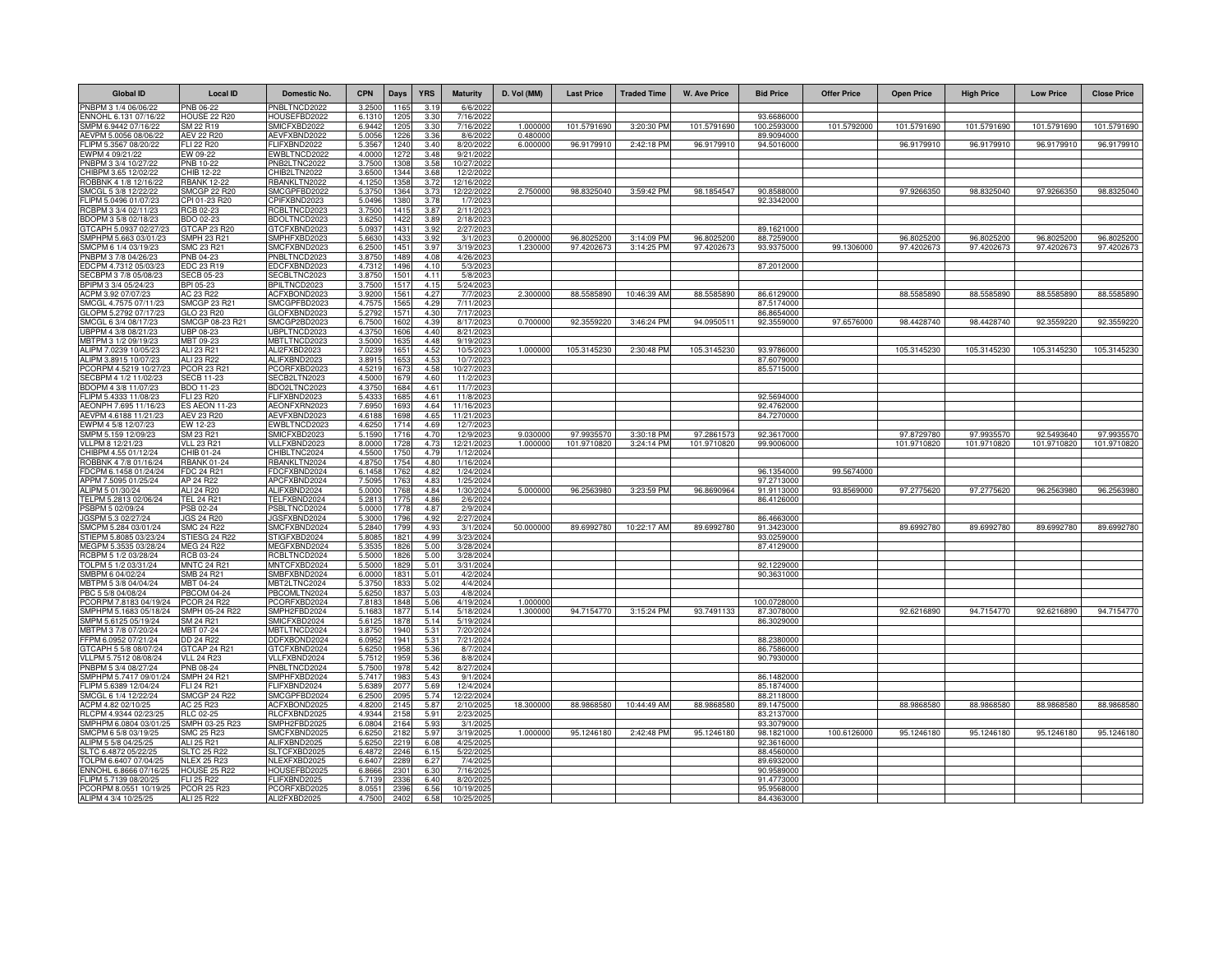| <b>Global ID</b>                                | <b>Local ID</b>                    | Domestic No.                        | <b>CPN</b>       | <b>Days</b>  | <b>YRS</b>   | <b>Maturity</b>        | D. Vol (MM) | <b>Last Price</b> | <b>Traded Time</b> | <b>W. Ave Price</b> | <b>Bid Price</b>          | <b>Offer Price</b> | <b>Open Price</b> | <b>High Price</b> | <b>Low Price</b> | <b>Close Price</b> |
|-------------------------------------------------|------------------------------------|-------------------------------------|------------------|--------------|--------------|------------------------|-------------|-------------------|--------------------|---------------------|---------------------------|--------------------|-------------------|-------------------|------------------|--------------------|
| PNBPM 3 1/4 06/06/22                            | PNB 06-22                          | PNBLTNCD2022                        | 3.2500           | 1165         | 3.19         | 6/6/202                |             |                   |                    |                     |                           |                    |                   |                   |                  |                    |
| ENNOHL 6.131 07/16/22                           | <b>HOUSE 22 R20</b>                | HOUSEFBD2022                        | 6.1310           | 1205         | 3.30         | 7/16/2022              | 1.00000     | 101.5791690       | 3:20:30 PM         |                     | 93.6686000                | 101.5792000        | 101.5791690       | 101.5791690       | 101.5791690      |                    |
| SMPM 6.9442 07/16/22<br>AFVPM 5.0056.08/06/22   | SM 22 R19<br><b>AEV 22 R20</b>     | SMICFXBD2022<br>AEVFXBND2022        | 6.944<br>5.005   | 120<br>1226  | 3.30<br>3.36 | 7/16/202<br>8/6/202    | 0.48000     |                   |                    | 101.5791690         | 100.2593000<br>89.9094000 |                    |                   |                   |                  | 101.5791690        |
| FLIPM 5.3567 08/20/22                           | <b>FLI 22 R20</b>                  | FLIFXBND2022                        | 5.356            | 1240         | 3.40         | 8/20/2022              | 6.00000     | 96.9179910        | 2:42:18 PM         | 96.9179910          | 94.5016000                |                    | 96.9179910        | 96.9179910        | 96.9179910       | 96.9179910         |
| EWPM 4 09/21/22                                 | EW 09-22                           | EWBLTNCD2022                        | 4.000            | 1272         | 3.48         | 9/21/2022              |             |                   |                    |                     |                           |                    |                   |                   |                  |                    |
| PNBPM 3 3/4 10/27/22<br>CHIBPM 3.65 12/02/22    | PNB 10-22<br>CHIB 12-22            | PNB2LTNC2022<br>CHIB2LTN2022        | 3.750<br>3.6500  | 130<br>1344  | 3.58<br>3.68 | 10/27/202<br>12/2/2022 |             |                   |                    |                     |                           |                    |                   |                   |                  |                    |
| ROBBNK 4 1/8 12/16/22                           | <b>RBANK 12-22</b>                 | RBANKLTN2022                        | 4.125            | 1358         | 3.72         | 12/16/2022             |             |                   |                    |                     |                           |                    |                   |                   |                  |                    |
| SMCGL 5 3/8 12/22/22                            | <b>SMCGP 22 R20</b>                | SMCGPFBD2022                        | 5.3750           | 1364         | 3.73         | 12/22/2022             | 2.750000    | 98.8325040        | 3:59:42 PM         | 98.1854547          | 90.8588000                |                    | 97.9266350        | 98.8325040        | 97.9266350       | 98.8325040         |
| FLIPM 5.0496 01/07/23                           | CPI 01-23 R20                      | CPIFXBND2023                        | 5.0496           | 1380         | 3.78         | 1/7/202                |             |                   |                    |                     | 92.3342000                |                    |                   |                   |                  |                    |
| RCBPM 3 3/4 02/11/23<br>BDOPM 3 5/8 02/18/23    | RCB 02-23<br>BDO 02-23             | RCBLTNCD2023<br>BDOLTNCD2023        | 3.7500<br>3.625  | 1415<br>142  | 3.87<br>3.89 | 2/11/202<br>2/18/202   |             |                   |                    |                     |                           |                    |                   |                   |                  |                    |
| GTCAPH 5.0937 02/27/23                          | GTCAP 23 R20                       | GTCFXBND2023                        | 5.093            | 1431         | 3.92         | 2/27/202               |             |                   |                    |                     | 89.1621000                |                    |                   |                   |                  |                    |
| SMPHPM 5.663 03/01/23                           | MPH 23 R21                         | SMPHFXBD2023                        | 5.663            | 1433         | 3.92         | 3/1/202                | 0.200000    | 96.8025200        | 3:14:09 PM         | 96.8025200          | 88.7259000                |                    | 96.8025200        | 96.8025200        | 96.8025200       | 96.8025200         |
| SMCPM 6 1/4 03/19/23                            | SMC 23 R21                         | SMCFXBND2023                        | 6.2500           | 1451         | 3.97         | 3/19/2023              | 1.230000    | 97.4202673        | 3:14:25 PM         | 97.4202673          | 93.9375000                | 99.1306000         | 97.4202673        | 97.4202673        | 97.4202673       | 97.4202673         |
| PNBPM 3 7/8 04/26/23<br>EDCPM 4.7312 05/03/23   | PNB 04-23<br>EDC 23 R19            | PNBLTNCD2023<br>EDCFXBND2023        | 3.875<br>4.7312  | 1489<br>1496 | 4.08<br>4.10 | 4/26/202<br>5/3/2023   |             |                   |                    |                     | 87.2012000                |                    |                   |                   |                  |                    |
| SECBPM 3 7/8 05/08/23                           | <b>SECB 05-23</b>                  | SECBLTNC2023                        | 3.8750           | 1501         | 4.11         | 5/8/202                |             |                   |                    |                     |                           |                    |                   |                   |                  |                    |
| BPIPM 3 3/4 05/24/23                            | BPI 05-23                          | BPILTNCD2023                        | 3.7500           | 1517         | 4.15         | 5/24/2023              |             |                   |                    |                     |                           |                    |                   |                   |                  |                    |
| ACPM 3.92 07/07/23                              | AC 23 R22                          | ACFXBOND2023                        | 3.920            | 1561         | 4.2          | 7/7/202                | 2.30000     | 88.5585890        | 10:46:39 AM        | 88.5585890          | 86.6129000                |                    | 88.5585890        | 88.5585890        | 88.5585890       | 88.5585890         |
| SMCGL 4.7575 07/11/23<br>GLOPM 5.2792 07/17/23  | SMCGP 23 R21<br>GLO 23 R20         | SMCGPFBD2023<br>GLOFXBND2023        | 4.757<br>5.279   | 156<br>157   | 4.29<br>4.30 | 7/11/202<br>7/17/202   |             |                   |                    |                     | 87.5174000<br>86.8654000  |                    |                   |                   |                  |                    |
| SMCGL 6 3/4 08/17/23                            | SMCGP 08-23 R21                    | SMCGP2BD2023                        | 6.750            | 1602         | 4.39         | 8/17/202               | 0.700000    | 92.3559220        | 3:46:24 PM         | 94.095051           | 92.3559000                | 97.6576000         | 98.4428740        | 98.4428740        | 92.3559220       | 92.3559220         |
| JBPPM 4 3/8 08/21/23                            | UBP 08-23                          | UBPLTNCD2023                        | 4.375            | 160          | 4.40         | 8/21/202               |             |                   |                    |                     |                           |                    |                   |                   |                  |                    |
| MBTPM 3 1/2 09/19/23                            | MBT 09-23                          | MBTLTNCD2023                        | 3,5000           | 1635         | 4.48         | 9/19/2023              |             |                   |                    |                     |                           |                    |                   |                   |                  |                    |
| ALIPM 7.0239 10/05/23<br>ALIPM 3.8915 10/07/23  | ALI 23 R21<br>ALI 23 R22           | ALI2FXBD2023<br>ALIFXBND2023        | 7.023<br>3.891   | 1651<br>1653 | 4.52<br>4.53 | 10/5/2023<br>10/7/202  | 1.000000    | 105.3145230       | 2:30:48 PM         | 105.3145230         | 93.9786000<br>87.6079000  |                    | 105.3145230       | 105.3145230       | 105.3145230      | 105.3145230        |
| PCORPM 4.5219 10/27/2                           | PCOR 23 R21                        | PCORFXBD2023                        | 4.521            | 167          | 4.58         | 10/27/202              |             |                   |                    |                     | 85.5715000                |                    |                   |                   |                  |                    |
| SECBPM 4 1/2 11/02/23                           | <b>SECB 11-23</b>                  | SECB2LTN2023                        | 4,5000           | 1679         | 4.60         | 11/2/2023              |             |                   |                    |                     |                           |                    |                   |                   |                  |                    |
| BDOPM 4 3/8 11/07/23                            | <b>BDO 11-23</b>                   | BDO2LTNC2023                        | 4.375            | 1684         | 4.61         | 11/7/2023              |             |                   |                    |                     |                           |                    |                   |                   |                  |                    |
| FLIPM 5.4333 11/08/23<br>AEONPH 7.695 11/16/23  | FLI 23 R20<br><b>ES AEON 11-23</b> | FLIFXBND2023<br>AEONFXRN2023        | 5.4333<br>7.695  | 1685<br>1693 | 4.61<br>4.64 | 11/8/202<br>11/16/202  |             |                   |                    |                     | 92.5694000<br>92.4762000  |                    |                   |                   |                  |                    |
| AEVPM 4.6188 11/21/23                           | AEV 23 R20                         | AEVFXBND2023                        | 4.6188           | 1698         | 4.65         | 11/21/202              |             |                   |                    |                     | 84.7270000                |                    |                   |                   |                  |                    |
| EWPM 4 5/8 12/07/23                             | EW 12-23                           | EWBLTNCD2023                        | 4.625            | 171.         | 4.69         | 12/7/202               |             |                   |                    |                     |                           |                    |                   |                   |                  |                    |
| SMPM 5.159 12/09/23                             | SM 23 R21                          | SMICFXBD2023                        | 5.1590           | 1716         | 4.70         | 12/9/2023              | 9.030000    | 97.9935570        | 3:30:18 PM         | 97.2861573          | 92.3617000                |                    | 97.8729780        | 97.9935570        | 92.5493640       | 97.9935570         |
| VLLPM 8 12/21/23<br>CHIBPM 4.55 01/12/24        | <b>VLL 23 R21</b><br>CHIB 01-24    | VLLFXBND2023<br>CHIBLTNC2024        | 8.000<br>4,5500  | 172<br>1750  | 4.73<br>4.79 | 12/21/202<br>1/12/2024 | 1.000000    | 101.9710820       | 3:24:14 PM         | 101.9710820         | 99.9006000                |                    | 101.9710820       | 101.9710820       | 101.9710820      | 101.9710820        |
| ROBBNK 4 7/8 01/16/24                           | <b>RBANK 01-24</b>                 | RBANKLTN2024                        | 4.875            | 175          | 4.80         | 1/16/2024              |             |                   |                    |                     |                           |                    |                   |                   |                  |                    |
| FDCPM 6.1458 01/24/24                           | FDC 24 R21                         | FDCFXBND2024                        | 6.1458           | 1762         | 4.82         | 1/24/2024              |             |                   |                    |                     | 96.1354000                | 99.5674000         |                   |                   |                  |                    |
| APPM 7.5095 01/25/24                            | AP 24 R22                          | APCFXBND2024                        | 7.509            | 176          | 4.83         | 1/25/2024              |             |                   |                    |                     | 97.2713000                |                    |                   |                   |                  |                    |
| ALIPM 5 01/30/24<br>TELPM 5.2813 02/06/24       | ALI 24 R20<br><b>TEL 24 R21</b>    | ALIFXBND2024<br>TELFXBND2024        | 5.0000<br>5.281  | 1768<br>1775 | 4.84<br>4.86 | 1/30/2024<br>2/6/2024  | 5.000000    | 96.2563980        | 3:23:59 PM         | 96.8690964          | 91.9113000<br>86.4126000  | 93.8569000         | 97.2775620        | 97.2775620        | 96.2563980       | 96.2563980         |
| PSBPM 5 02/09/24                                | PSB 02-24                          | PSBLTNCD2024                        | 5.0000           | 1778         | 4.87         | 2/9/2024               |             |                   |                    |                     |                           |                    |                   |                   |                  |                    |
| JGSPM 5.3 02/27/24                              | <b>JGS 24 R20</b>                  | JGSFXBND2024                        | 5.3000           | 1796         | 4.92         | 2/27/2024              |             |                   |                    |                     | 86.4663000                |                    |                   |                   |                  |                    |
| SMCPM 5.284 03/01/24                            | <b>SMC 24 R22</b>                  | SMCFXBND2024                        | 5.2840           | 1799         | 4.93<br>4.99 | 3/1/2024               | 50.000000   | 89.6992780        | 10:22:17 AM        | 89.6992780          | 91.3423000                |                    | 89.6992780        | 89.6992780        | 89.6992780       | 89.6992780         |
| STIEPM 5.8085 03/23/24<br>MEGPM 5.3535 03/28/24 | STIESG 24 R22<br><b>MEG 24 R22</b> | STIGFXBD2024<br><b>MEGFXBND2024</b> | 5.808<br>5.353   | 1821<br>1826 | 5.00         | 3/23/2024<br>3/28/2024 |             |                   |                    |                     | 93.0259000<br>87.4129000  |                    |                   |                   |                  |                    |
| RCBPM 5 1/2 03/28/24                            | RCB 03-24                          | RCBLTNCD2024                        | 5.500            | 1826         | 5.00         | 3/28/2024              |             |                   |                    |                     |                           |                    |                   |                   |                  |                    |
| TOLPM 5 1/2 03/31/24                            | <b>MNTC 24 R21</b>                 | MNTCFXBD2024                        | 5.500            | 1829         | 5.01         | 3/31/2024              |             |                   |                    |                     | 92.1229000                |                    |                   |                   |                  |                    |
| SMBPM 6 04/02/24                                | <b>SMB 24 R21</b>                  | SMBFXBND2024                        | 6.000            | 183          | 5.01         | 4/2/202                |             |                   |                    |                     | 90.3631000                |                    |                   |                   |                  |                    |
| MBTPM 5 3/8 04/04/24<br>PBC 5 5/8 04/08/24      | MBT 04-24<br><b>PBCOM 04-24</b>    | MBT2LTNC2024<br>PBCOMLTN2024        | 5.375<br>5.625   | 1833<br>1837 | 5.02<br>5.03 | 4/4/2024<br>4/8/2024   |             |                   |                    |                     |                           |                    |                   |                   |                  |                    |
| PCORPM 7.8183 04/19/24                          | <b>PCOR 24 R22</b>                 | PCORFXBD2024                        | 7.8183           | 1848         | 5.06         | 4/19/2024              | 1.000000    |                   |                    |                     | 100.0728000               |                    |                   |                   |                  |                    |
| SMPHPM 5.1683 05/18/24                          | MPH 05-24 R22                      | SMPH2FBD2024                        | 5.168            | 187          | 5.14         | 5/18/2024              | 1.30000     | 94.7154770        | 3:15:24 PM         | 93.7491133          | 87.3078000                |                    | 92.6216890        | 94.7154770        | 92.6216890       | 94.7154770         |
| SMPM 5.6125 05/19/24<br>MBTPM 3 7/8 07/20/24    | M 24 R 21<br>MBT 07-24             | MICFXBD2024<br>MBTLTNCD2024         | 5.612<br>3.875   | 187<br>194   | 5.14<br>5.31 | 5/19/2024<br>7/20/2024 |             |                   |                    |                     | 86.3029000                |                    |                   |                   |                  |                    |
| FFPM 6.0952 07/21/24                            | DD 24 R22                          | DDFXBOND2024                        | 6.0952           | 194          | 5.31         | 7/21/2024              |             |                   |                    |                     | 88.2380000                |                    |                   |                   |                  |                    |
| GTCAPH 5 5/8 08/07/24                           | GTCAP 24 R21                       | GTCFXBND2024                        | 5.625            | 195          | 5.36         | 8/7/2024               |             |                   |                    |                     | 86.7586000                |                    |                   |                   |                  |                    |
| VLLPM 5.7512 08/08/24                           | <b>VLL 24 R23</b>                  | VLLFXBND2024                        | 5.7512           | 195          | 5.36         | 8/8/2024               |             |                   |                    |                     | 90.7930000                |                    |                   |                   |                  |                    |
| PNBPM 5 3/4 08/27/24<br>SMPHPM 5.7417 09/01/24  | PNB 08-24<br><b>SMPH 24 R21</b>    | PNBLTNCD2024<br>SMPHFXBD2024        | 5.7500<br>5.7417 | 197<br>1983  | 5.42<br>5.43 | 8/27/2024<br>9/1/2024  |             |                   |                    |                     | 86.1482000                |                    |                   |                   |                  |                    |
| FLIPM 5.6389 12/04/24                           | <b>ELI 24 R21</b>                  | FLIFXBND2024                        | 5.638            | 2077         | 5.69         | 12/4/2024              |             |                   |                    |                     | 85.1874000                |                    |                   |                   |                  |                    |
| SMCGL 6 1/4 12/22/24                            | <b>SMCGP 24 R22</b>                | SMCGPFBD2024                        | 6.2500           | 2095         | 5.74         | 12/22/2024             |             |                   |                    |                     | 88.2118000                |                    |                   |                   |                  |                    |
| ACPM 4.82 02/10/25                              | AC 25 R23                          | ACFXBOND2025                        | 4.820            | 2145         | 5.87         | 2/10/202               | 18.300000   | 88.9868580        | 10:44:49 AM        | 88.9868580          | 89.1475000                |                    | 88.9868580        | 88.9868580        | 88.9868580       | 88.9868580         |
| RLCPM 4.9344 02/23/25<br>SMPHPM 6.0804 03/01/25 | <b>RLC 02-25</b><br>SMPH 03-25 R23 | RLCFXBND2025<br>SMPH2FBD2025        | 4.9344<br>6.080  | 2158<br>2164 | 5.91<br>5.93 | 2/23/202<br>3/1/202    |             |                   |                    |                     | 83.2137000<br>93.3079000  |                    |                   |                   |                  |                    |
| SMCPM 6 5/8 03/19/25                            | <b>SMC 25 R23</b>                  | SMCFXBND2025                        | 6.625            | 2182         | 5.97         | 3/19/202               | 1.000000    | 95.1246180        | 2:42:48 PM         | 95.1246180          | 98.1821000                | 100.6126000        | 95.1246180        | 95.1246180        | 95.1246180       | 95.1246180         |
| ALIPM 5 5/8 04/25/25                            | ALI 25 R21                         | ALIFXBND2025                        | 5.625            | 221          | 6.08         | 4/25/202               |             |                   |                    |                     | 92.3616000                |                    |                   |                   |                  |                    |
| SLTC 6.4872 05/22/25                            | <b>SLTC 25 R22</b>                 | SLTCFXBD2025                        | 6.4872           | 2246         | 6.15         | 5/22/2025              |             |                   |                    |                     | 88.4560000                |                    |                   |                   |                  |                    |
| TOLPM 6.6407 07/04/25<br>ENNOHL 6.8666 07/16/25 | <b>NLEX 25 R23</b><br>OUSE 25 R22  | NLEXFXBD2025<br>HOUSEFBD2025        | 6.6407<br>6.8666 | 2289<br>2301 | 6.27<br>6.30 | 7/4/202<br>7/16/2025   |             |                   |                    |                     | 89.6932000<br>90.9589000  |                    |                   |                   |                  |                    |
| FLIPM 5.7139 08/20/25                           | FLI 25 R22                         | FLIFXBND2025                        | 5.713            | 233          | 6.40         | 8/20/202               |             |                   |                    |                     | 91.4773000                |                    |                   |                   |                  |                    |
| PCORPM 8.0551 10/19/25                          | <b>PCOR 25 R23</b>                 | PCORFXBD2025                        | 8.055            | 239          | 6.56         | 10/19/202              |             |                   |                    |                     | 95.9568000                |                    |                   |                   |                  |                    |
| ALIPM 4 3/4 10/25/25                            | ALI 25 R22                         | ALI2FXBD2025                        | 4.750            | 240          | 6.58         | 10/25/202              |             |                   |                    |                     | 84.4363000                |                    |                   |                   |                  |                    |